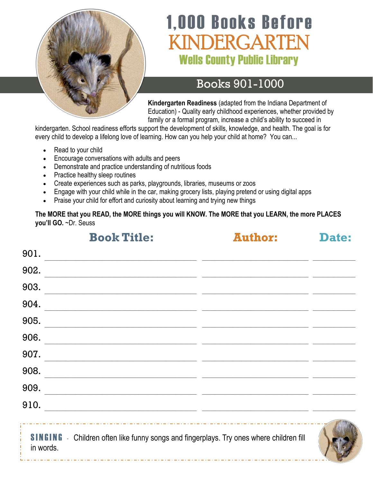

# **1,000 Books Before** INDERGARTEN **Wells County Public Library**

# Books 901-1000

**Kindergarten Readiness** (adapted from the Indiana Department of Education) - Quality early childhood experiences, whether provided by family or a formal program, increase a child's ability to succeed in

kindergarten. School readiness efforts support the development of skills, knowledge, and health. The goal is for every child to develop a lifelong love of learning. How can you help your child at home? You can...

- Read to your child
- Encourage conversations with adults and peers
- Demonstrate and practice understanding of nutritious foods
- Practice healthy sleep routines
- Create experiences such as parks, playgrounds, libraries, museums or zoos
- Engage with your child while in the car, making grocery lists, playing pretend or using digital apps
- Praise your child for effort and curiosity about learning and trying new things

**The MORE that you READ, the MORE things you will KNOW. The MORE that you LEARN, the more PLACES you'll GO.** ~Dr. Seuss

|           | <b>Book Title:</b>                                                                                                    | <b>Author:</b>                                                                                                      | Date: |
|-----------|-----------------------------------------------------------------------------------------------------------------------|---------------------------------------------------------------------------------------------------------------------|-------|
| 901.      |                                                                                                                       |                                                                                                                     |       |
| 902.      |                                                                                                                       |                                                                                                                     |       |
| 903.      |                                                                                                                       |                                                                                                                     |       |
| 904.      |                                                                                                                       | <u> 1989 - Johann John Stone, mars and de format and de format and de format and de format and de format and de</u> |       |
| 905.      |                                                                                                                       | <u> 2000 - Jan Alexander Start, fransk politik (d. 1982)</u>                                                        |       |
| 906.      | <u> 1989 - Johann Stoff, deutscher Stoff, der Stoff, der Stoff, der Stoff, der Stoff, der Stoff, der Stoff, der S</u> |                                                                                                                     |       |
| 907.      |                                                                                                                       |                                                                                                                     |       |
| 908.      |                                                                                                                       |                                                                                                                     |       |
| 909.      | <u> 1989 - Johann Stoff, amerikansk politiker (d. 1989)</u>                                                           |                                                                                                                     |       |
| 910.      | <u> 1990 - Johann Stoff, deutscher Stoff, der Stoff, der Stoff, der Stoff, der Stoff, der Stoff, der Stoff, der S</u> |                                                                                                                     |       |
| in words. | <b>SINGING</b> - Children often like funny songs and fingerplays. Try ones where children fill                        |                                                                                                                     |       |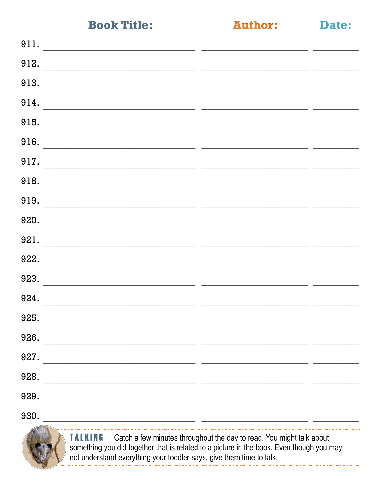**Author:** 

Date:

| 911.                                                                  |  |
|-----------------------------------------------------------------------|--|
| 912.                                                                  |  |
| 913.                                                                  |  |
| 914.                                                                  |  |
| 915.                                                                  |  |
| 916.                                                                  |  |
| 917.                                                                  |  |
| 918.                                                                  |  |
| 919.<br><u> 1989 - Andrea Stadt Britain, fransk politik (f. 1982)</u> |  |
| 920.                                                                  |  |
| 921.                                                                  |  |
| 922.                                                                  |  |
| 923.                                                                  |  |
| 924.                                                                  |  |
| 925.                                                                  |  |
| 926.                                                                  |  |
| 927.                                                                  |  |
| 928.                                                                  |  |
| 929.                                                                  |  |
| 930.                                                                  |  |



**TALKING** - Catch a few minutes throughout the day to read. You might talk about something you did together that is related to a picture in the book. Even though you may not understand everything your toddler says, give them time to talk.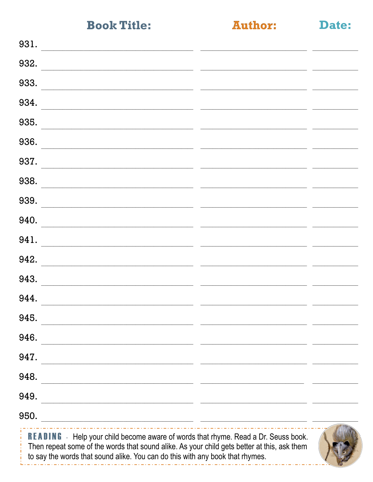**Author:** 

Date:

| <b>READING</b> - Help your child become aware of words that rhyme. Read a Dr. Seuss book.<br>Then repeat some of the words that sound alike. As your child gets better at this, ask them<br>to say the words that sound alike. You can do this with any book that rhymes. |  |
|---------------------------------------------------------------------------------------------------------------------------------------------------------------------------------------------------------------------------------------------------------------------------|--|
| 950.<br><u> 1980 - Jan Barnett, fransk politiker (d. 1980)</u>                                                                                                                                                                                                            |  |
| 949.                                                                                                                                                                                                                                                                      |  |
| 948.                                                                                                                                                                                                                                                                      |  |
| 947.                                                                                                                                                                                                                                                                      |  |
| 946.                                                                                                                                                                                                                                                                      |  |
| 945.                                                                                                                                                                                                                                                                      |  |
| 944.                                                                                                                                                                                                                                                                      |  |
| 943.                                                                                                                                                                                                                                                                      |  |
| 942.                                                                                                                                                                                                                                                                      |  |
| 941.                                                                                                                                                                                                                                                                      |  |
| 940.                                                                                                                                                                                                                                                                      |  |
| 939.                                                                                                                                                                                                                                                                      |  |
| 938.                                                                                                                                                                                                                                                                      |  |
| 937.                                                                                                                                                                                                                                                                      |  |
| 936.                                                                                                                                                                                                                                                                      |  |
| 935.                                                                                                                                                                                                                                                                      |  |
| 934.                                                                                                                                                                                                                                                                      |  |
| 933.                                                                                                                                                                                                                                                                      |  |
| 932.                                                                                                                                                                                                                                                                      |  |
| 931.                                                                                                                                                                                                                                                                      |  |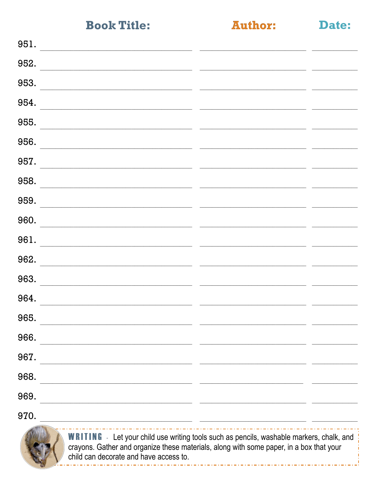**Author:** 

Date:

| 951.                                                                                                                                                                                       |  |
|--------------------------------------------------------------------------------------------------------------------------------------------------------------------------------------------|--|
| 952.                                                                                                                                                                                       |  |
| 953.                                                                                                                                                                                       |  |
| 954.                                                                                                                                                                                       |  |
| 955.                                                                                                                                                                                       |  |
| 956.                                                                                                                                                                                       |  |
| 957.                                                                                                                                                                                       |  |
| 958.                                                                                                                                                                                       |  |
| 959.                                                                                                                                                                                       |  |
| 960.                                                                                                                                                                                       |  |
| 961.                                                                                                                                                                                       |  |
| 962.                                                                                                                                                                                       |  |
| 963.                                                                                                                                                                                       |  |
| 964.                                                                                                                                                                                       |  |
| 965.                                                                                                                                                                                       |  |
| 966.                                                                                                                                                                                       |  |
| 967.<br>the control of the control of the control of                                                                                                                                       |  |
| 968.                                                                                                                                                                                       |  |
| 969.<br><u> 1989 - Jan Samuel Barbara, margaret eta biztanleria (h. 1989).</u>                                                                                                             |  |
| 970.<br><u> 1989 - Johann Barbara, martin amerikan basal dan berasal dalam basal dalam basal dalam basal dalam basal dala</u>                                                              |  |
| <b>WRITING</b> - Let your child use writing tools such as pencils, washable markers, chalk, and<br>crayons. Gather and organize these materials, along with some paper, in a box that your |  |

child can decorate and have access to.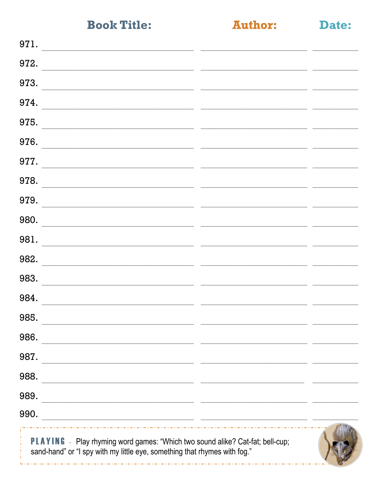**Author:** 

Date:

| 971.                                                                                                                                                              |  |
|-------------------------------------------------------------------------------------------------------------------------------------------------------------------|--|
| 972.                                                                                                                                                              |  |
| 973.                                                                                                                                                              |  |
| 974.                                                                                                                                                              |  |
| 975.                                                                                                                                                              |  |
| 976.                                                                                                                                                              |  |
| 977.                                                                                                                                                              |  |
| 978.                                                                                                                                                              |  |
| 979.                                                                                                                                                              |  |
| 980.                                                                                                                                                              |  |
| 981.                                                                                                                                                              |  |
| 982.                                                                                                                                                              |  |
| 983.                                                                                                                                                              |  |
| 984.                                                                                                                                                              |  |
| 985.                                                                                                                                                              |  |
| 986.                                                                                                                                                              |  |
| 987.                                                                                                                                                              |  |
| 988.                                                                                                                                                              |  |
| 989.                                                                                                                                                              |  |
| 990.<br><u> 1989 - Johann Barbara, martin amerikan basar dan basa dalam pengaran basa dalam pengaran basa dalam pengaran</u>                                      |  |
| <b>PLAYING</b> - Play rhyming word games: "Which two sound alike? Cat-fat; bell-cup;<br>sand-hand" or "I spy with my little eye, something that rhymes with fog." |  |